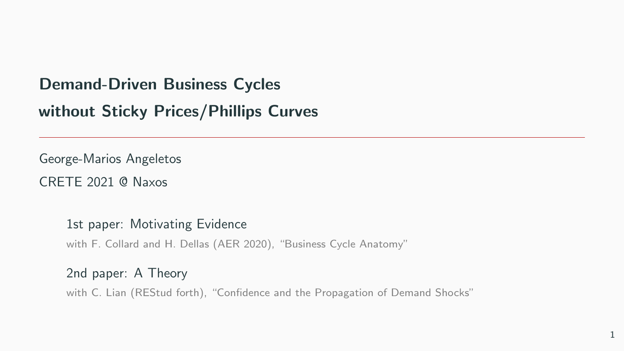## Demand-Driven Business Cycles

## without Sticky Prices/Phillips Curves

George-Marios Angeletos CRETE 2021 @ Naxos

1st paper: Motivating Evidence

with F. Collard and H. Dellas (AER 2020), "Business Cycle Anatomy"

2nd paper: A Theory with C. Lian (REStud forth), "Confidence and the Propagation of Demand Shocks"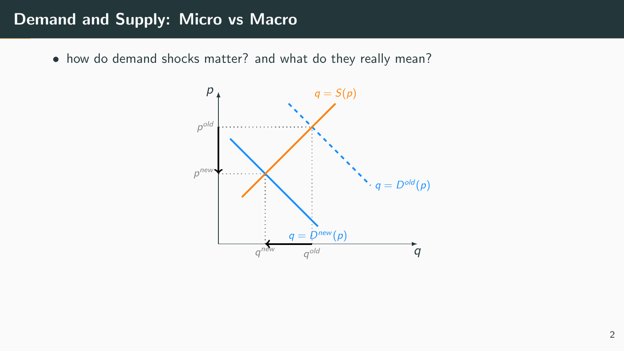### Demand and Supply: Micro vs Macro

• how do demand shocks matter? and what do they really mean?

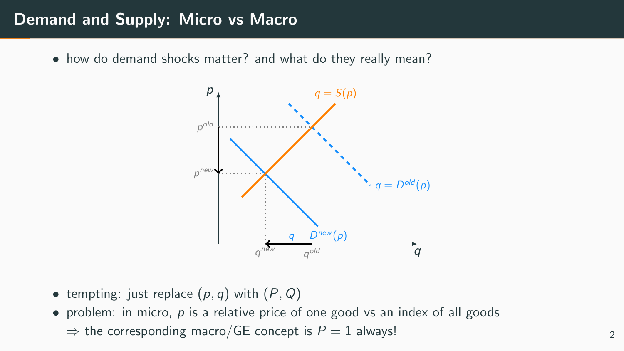## Demand and Supply: Micro vs Macro

• how do demand shocks matter? and what do they really mean?



- tempting: just replace  $(p, q)$  with  $(P, Q)$
- problem: in micro,  $p$  is a relative price of one good vs an index of all goods ⇒ the corresponding macro/GE concept is  $P = 1$  always!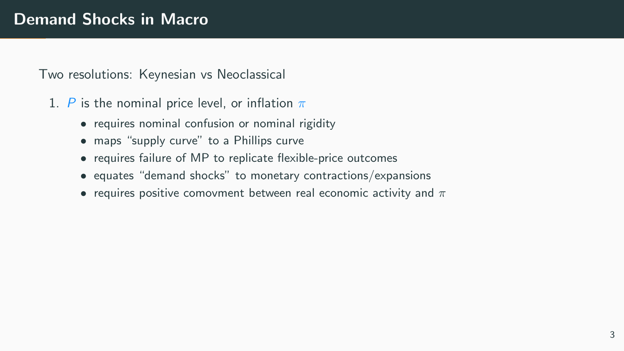## Demand Shocks in Macro

Two resolutions: Keynesian vs Neoclassical

- 1. P is the nominal price level, or inflation  $\pi$ 
	- requires nominal confusion or nominal rigidity
	- maps "supply curve" to a Phillips curve
	- requires failure of MP to replicate flexible-price outcomes
	- equates "demand shocks" to monetary contractions/expansions
	- requires positive comovment between real economic activity and  $\pi$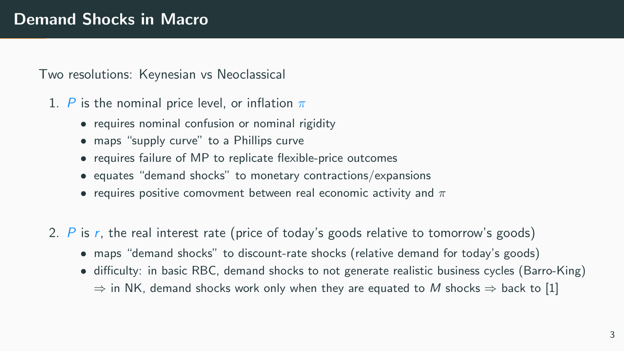Two resolutions: Keynesian vs Neoclassical

- 1. P is the nominal price level, or inflation  $\pi$ 
	- requires nominal confusion or nominal rigidity
	- maps "supply curve" to a Phillips curve
	- requires failure of MP to replicate flexible-price outcomes
	- equates "demand shocks" to monetary contractions/expansions
	- requires positive comovment between real economic activity and  $\pi$
- 2. P is r, the real interest rate (price of today's goods relative to tomorrow's goods)
	- maps "demand shocks" to discount-rate shocks (relative demand for today's goods)
	- difficulty: in basic RBC, demand shocks to not generate realistic business cycles (Barro-King)  $\Rightarrow$  in NK, demand shocks work only when they are equated to M shocks  $\Rightarrow$  back to [1]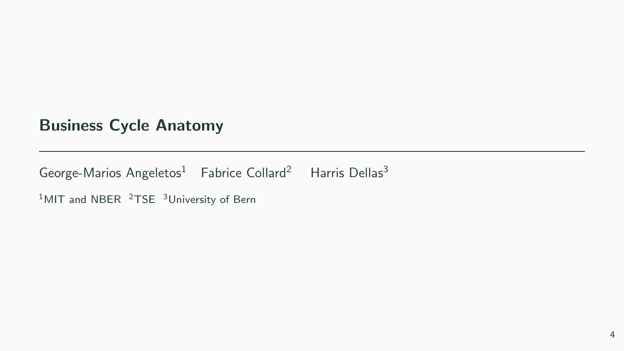## Business Cycle Anatomy

George-Marios Angeletos<sup>1</sup> Fabrice Collard<sup>2</sup> Harris Dellas<sup>3</sup>

 $1$ MIT and NBER  $2$ TSE  $3$ University of Bern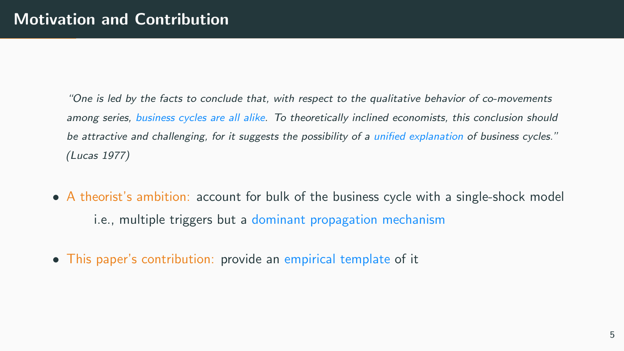"One is led by the facts to conclude that, with respect to the qualitative behavior of co-movements among series, business cycles are all alike. To theoretically inclined economists, this conclusion should be attractive and challenging, for it suggests the possibility of a unified explanation of business cycles." (Lucas 1977)

- A theorist's ambition: account for bulk of the business cycle with a single-shock model i.e., multiple triggers but a dominant propagation mechanism
- This paper's contribution: provide an empirical template of it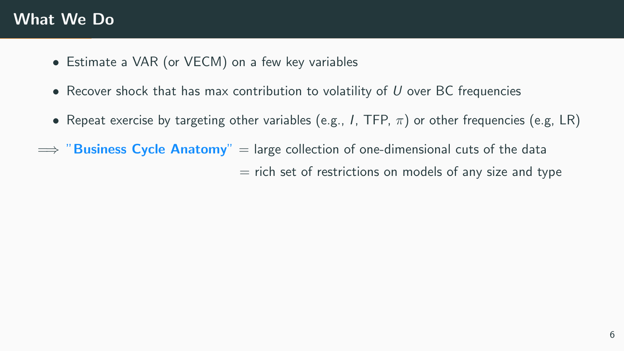## What We Do

- Estimate a VAR (or VECM) on a few key variables
- Recover shock that has max contribution to volatility of  $U$  over BC frequencies
- Repeat exercise by targeting other variables (e.g., I, TFP,  $\pi$ ) or other frequencies (e.g, LR)
- $\implies$  "Business Cycle Anatomy" = large collection of one-dimensional cuts of the data  $=$  rich set of restrictions on models of any size and type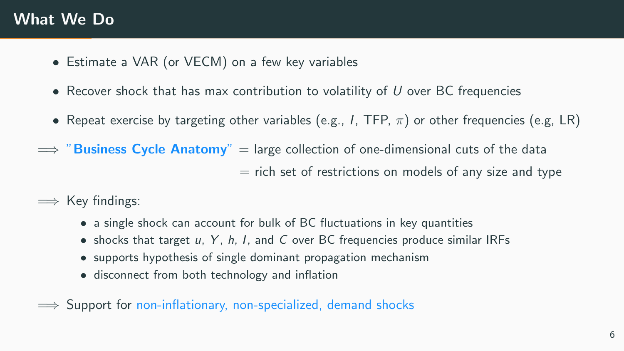## What We Do

- Estimate a VAR (or VECM) on a few key variables
- Recover shock that has max contribution to volatility of  $U$  over BC frequencies
- Repeat exercise by targeting other variables (e.g., I, TFP,  $\pi$ ) or other frequencies (e.g, LR)
- $\implies$  "Business Cycle Anatomy" = large collection of one-dimensional cuts of the data  $=$  rich set of restrictions on models of any size and type
- $\implies$  Key findings:
	- a single shock can account for bulk of BC fluctuations in key quantities
	- shocks that target u, Y, h, I, and C over BC frequencies produce similar IRFs
	- supports hypothesis of single dominant propagation mechanism
	- disconnect from both technology and inflation
- $\implies$  Support for non-inflationary, non-specialized, demand shocks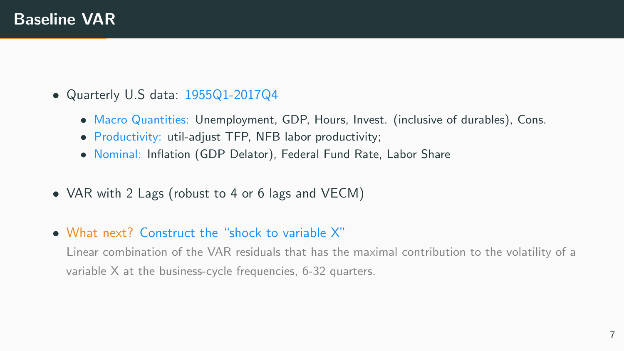- Quarterly U.S data: 1955Q1-2017Q4
	- Macro Quantities: Unemployment, GDP, Hours, Invest. (inclusive of durables), Cons.
	- Productivity: util-adjust TFP, NFB labor productivity;
	- Nominal: Inflation (GDP Delator), Federal Fund Rate, Labor Share
- VAR with 2 Lags (robust to 4 or 6 lags and VECM)
- What next? Construct the "shock to variable X"

Linear combination of the VAR residuals that has the maximal contribution to the volatility of a variable X at the business-cycle frequencies, 6-32 quarters.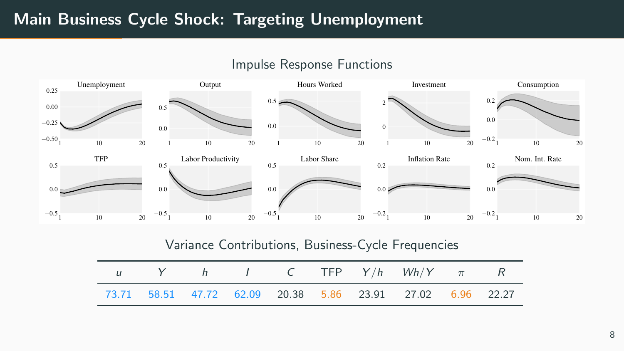## Main Business Cycle Shock: Targeting Unemployment



#### Impulse Response Functions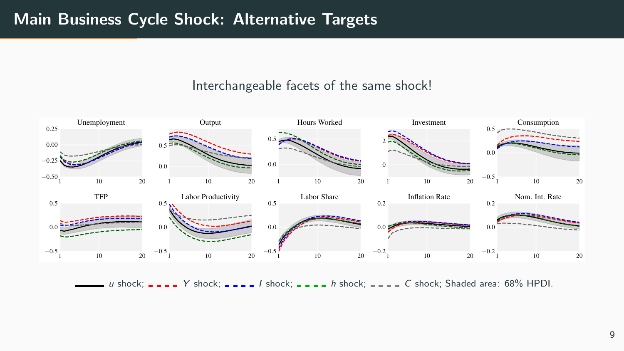## Main Business Cycle Shock: Alternative Targets

#### Interchangeable facets of the same shock!



 $u$  shock;  $u - u$   $Y$  shock;  $u - u$   $I$  shock;  $u - u$  shock;  $u - u$  shock; Shaded area: 68% HPDI.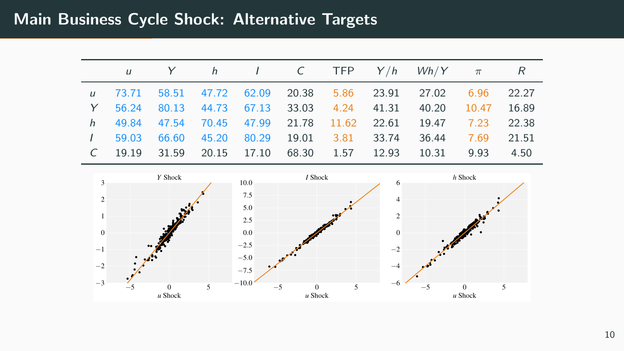## Main Business Cycle Shock: Alternative Targets

|  |  |  |  | u Y h I C TFP $Y/h$ $Wh/Y$ $\pi$ R                           |  |
|--|--|--|--|--------------------------------------------------------------|--|
|  |  |  |  | u 73.71 58.51 47.72 62.09 20.38 5.86 23.91 27.02 6.96 22.27  |  |
|  |  |  |  | Y 56.24 80.13 44.73 67.13 33.03 4.24 41.31 40.20 10.47 16.89 |  |
|  |  |  |  | h 49.84 47.54 70.45 47.99 21.78 11.62 22.61 19.47 7.23 22.38 |  |
|  |  |  |  | 1 59.03 66.60 45.20 80.29 19.01 3.81 33.74 36.44 7.69 21.51  |  |
|  |  |  |  | C 19.19 31.59 20.15 17.10 68.30 1.57 12.93 10.31 9.93 4.50   |  |

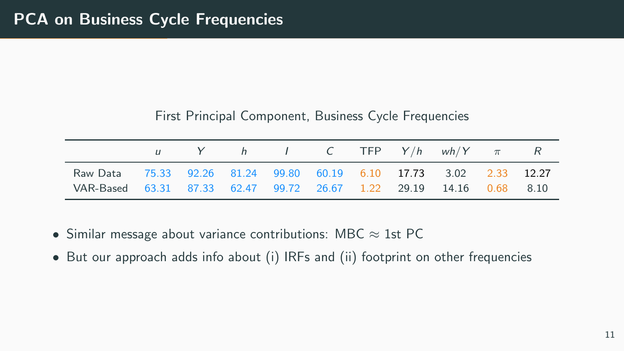### First Principal Component, Business Cycle Frequencies

|                                                                                                                                         |  |  |  | u Y h I C TFP $Y/h$ wh/Y $\pi$ R |  |
|-----------------------------------------------------------------------------------------------------------------------------------------|--|--|--|----------------------------------|--|
| Raw Data 75.33 92.26 81.24 99.80 60.19 6.10 17.73 3.02 2.33 12.27<br>VAR-Based 63.31 87.33 62.47 99.72 26.67 1.22 29.19 14.16 0.68 8.10 |  |  |  |                                  |  |

- Similar message about variance contributions: MBC  $\approx$  1st PC
- But our approach adds info about (i) IRFs and (ii) footprint on other frequencies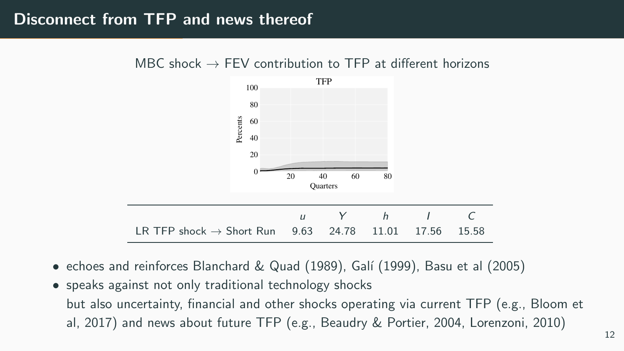## Disconnect from TFP and news thereof



MBC shock  $\rightarrow$  FFV contribution to TFP at different horizons

- echoes and reinforces Blanchard & Quad (1989), Galí (1999), Basu et al (2005)
- speaks against not only traditional technology shocks but also uncertainty, financial and other shocks operating via current TFP (e.g., Bloom et al, 2017) and news about future TFP (e.g., Beaudry & Portier, 2004, Lorenzoni, 2010)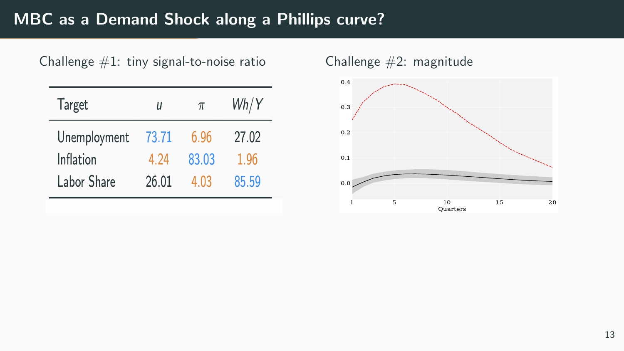# MBC as a Demand Shock along a Phillips curve?

| Challenge $#1$ : tiny signal-to-noise ratio |  |  |  |  |
|---------------------------------------------|--|--|--|--|
|---------------------------------------------|--|--|--|--|

| <b>Target</b> | П     | $\pi$ | Wh/Y  |  |  |
|---------------|-------|-------|-------|--|--|
| Unemployment  | 73.71 | 6.96  | 27.02 |  |  |
| Inflation     | 4.24  | 83.03 | 1.96  |  |  |
| Labor Share   | 26.01 | 4.03  | 85.59 |  |  |

Challenge  $#2$ : magnitude

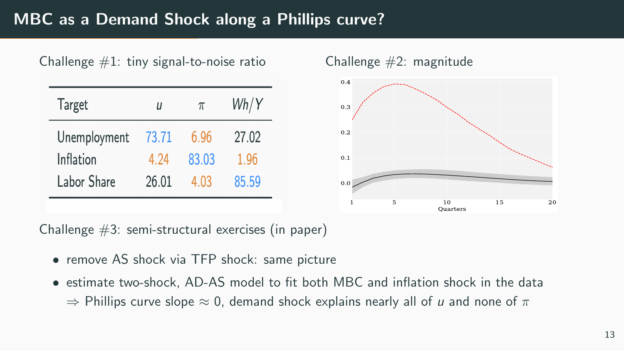# MBC as a Demand Shock along a Phillips curve?



Challenge #3: semi-structural exercises (in paper)

- remove AS shock via TFP shock: same picture
- estimate two-shock, AD-AS model to fit both MBC and inflation shock in the data  $\Rightarrow$  Phillips curve slope  $\approx$  0, demand shock explains nearly all of u and none of  $\pi$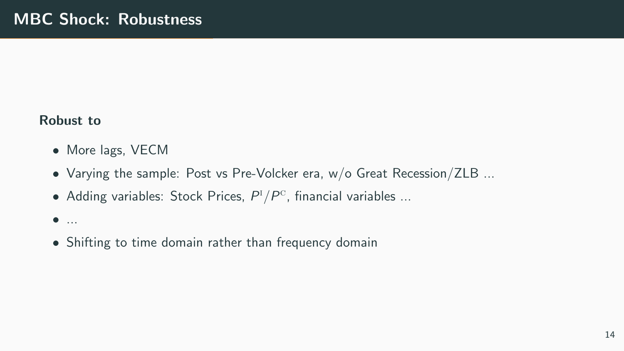#### Robust to

- More lags, VECM
- Varying the sample: Post vs Pre-Volcker era, w/o Great Recession/ZLB ...
- Adding variables: Stock Prices,  $P^{I}/P^{C}$ , financial variables ...

#### $\bullet$  ...

• Shifting to time domain rather than frequency domain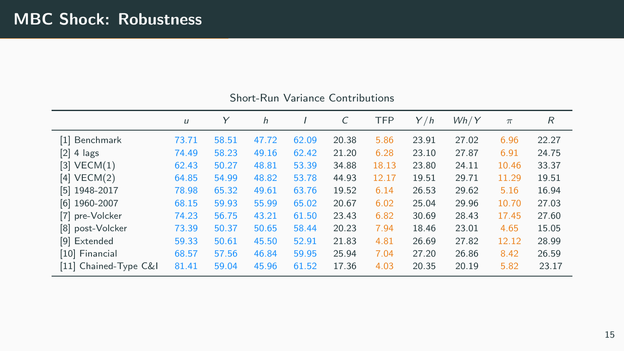|                       | $\iota$ | Y     | h     |       | C     | <b>TFP</b> | Y/h   | Wh/Y  | $\pi$ | R     |
|-----------------------|---------|-------|-------|-------|-------|------------|-------|-------|-------|-------|
| [1] Benchmark         | 73.71   | 58.51 | 47.72 | 62.09 | 20.38 | 5.86       | 23.91 | 27.02 | 6.96  | 22.27 |
| $[2]$ 4 lags          | 74.49   | 58.23 | 49.16 | 62.42 | 21.20 | 6.28       | 23.10 | 27.87 | 6.91  | 24.75 |
| $[3]$ VECM $(1)$      | 62.43   | 50.27 | 48.81 | 53.39 | 34.88 | 18.13      | 23.80 | 24.11 | 10.46 | 33.37 |
| $[4]$ VECM $(2)$      | 64.85   | 54.99 | 48.82 | 53.78 | 44.93 | 12.17      | 19.51 | 29.71 | 11.29 | 19.51 |
| $[5]$ 1948-2017       | 78.98   | 65.32 | 49.61 | 63.76 | 19.52 | 6.14       | 26.53 | 29.62 | 5.16  | 16.94 |
| $[6]$ 1960-2007       | 68.15   | 59.93 | 55.99 | 65.02 | 20.67 | 6.02       | 25.04 | 29.96 | 10.70 | 27.03 |
| [7] pre-Volcker       | 74.23   | 56.75 | 43.21 | 61.50 | 23.43 | 6.82       | 30.69 | 28.43 | 17.45 | 27.60 |
| [8] post-Volcker      | 73.39   | 50.37 | 50.65 | 58.44 | 20.23 | 7.94       | 18.46 | 23.01 | 4.65  | 15.05 |
| [9] Extended          | 59.33   | 50.61 | 45.50 | 52.91 | 21.83 | 4.81       | 26.69 | 27.82 | 12.12 | 28.99 |
| [10] Financial        | 68.57   | 57.56 | 46.84 | 59.95 | 25.94 | 7.04       | 27.20 | 26.86 | 8.42  | 26.59 |
| [11] Chained-Type C&I | 81.41   | 59.04 | 45.96 | 61.52 | 17.36 | 4.03       | 20.35 | 20.19 | 5.82  | 23.17 |

#### Short-Run Variance Contributions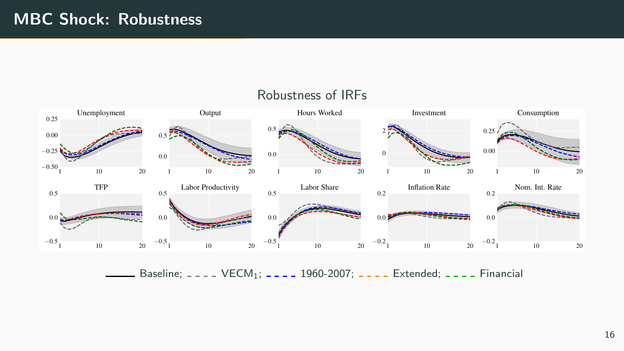

Baseline;  $---$  VECM<sub>1</sub>;  $---$  1960-2007;  $---$  Extended;  $---$  Financial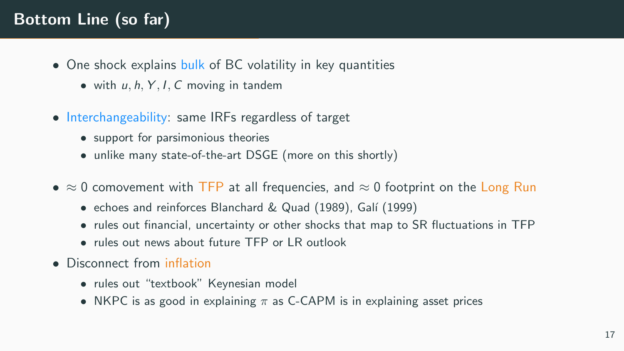# Bottom Line (so far)

- One shock explains bulk of BC volatility in key quantities
	- with  $u, h, Y, I, C$  moving in tandem
- Interchangeability: same IRFs regardless of target
	- support for parsimonious theories
	- unlike many state-of-the-art DSGE (more on this shortly)
- $\approx$  0 comovement with TFP at all frequencies, and  $\approx$  0 footprint on the Long Run
	- echoes and reinforces Blanchard & Quad (1989), Galí (1999)
	- rules out financial, uncertainty or other shocks that map to SR fluctuations in TFP
	- rules out news about future TFP or LR outlook
- Disconnect from inflation
	- rules out "textbook" Keynesian model
	- NKPC is as good in explaining  $\pi$  as C-CAPM is in explaining asset prices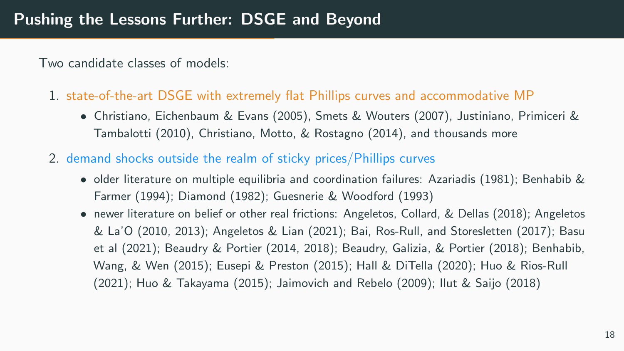Two candidate classes of models:

- 1. state-of-the-art DSGE with extremely flat Phillips curves and accommodative MP
	- Christiano, Eichenbaum & Evans (2005), Smets & Wouters (2007), Justiniano, Primiceri & Tambalotti (2010), Christiano, Motto, & Rostagno (2014), and thousands more
- 2. demand shocks outside the realm of sticky prices/Phillips curves
	- older literature on multiple equilibria and coordination failures: Azariadis (1981); Benhabib & Farmer (1994); Diamond (1982); Guesnerie & Woodford (1993)
	- newer literature on belief or other real frictions: Angeletos, Collard, & Dellas (2018); Angeletos & La'O (2010, 2013); Angeletos & Lian (2021); Bai, Ros-Rull, and Storesletten (2017); Basu et al (2021); Beaudry & Portier (2014, 2018); Beaudry, Galizia, & Portier (2018); Benhabib, Wang, & Wen (2015); Eusepi & Preston (2015); Hall & DiTella (2020); Huo & Rios-Rull (2021); Huo & Takayama (2015); Jaimovich and Rebelo (2009); Ilut & Saijo (2018)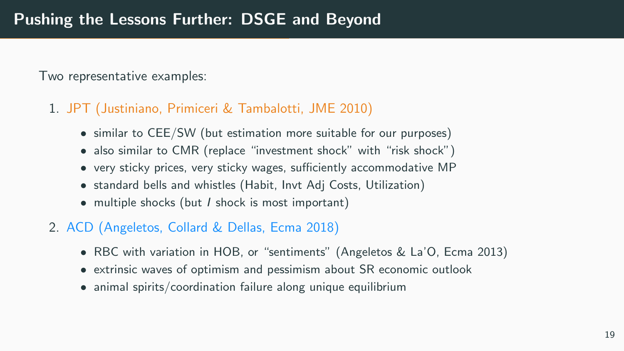Two representative examples:

### 1. JPT (Justiniano, Primiceri & Tambalotti, JME 2010)

- similar to CEE/SW (but estimation more suitable for our purposes)
- also similar to CMR (replace "investment shock" with "risk shock")
- very sticky prices, very sticky wages, sufficiently accommodative MP
- standard bells and whistles (Habit, Invt Adj Costs, Utilization)
- multiple shocks (but *I* shock is most important)
- 2. ACD (Angeletos, Collard & Dellas, Ecma 2018)
	- RBC with variation in HOB, or "sentiments" (Angeletos & La'O, Ecma 2013)
	- extrinsic waves of optimism and pessimism about SR economic outlook
	- animal spirits/coordination failure along unique equilibrium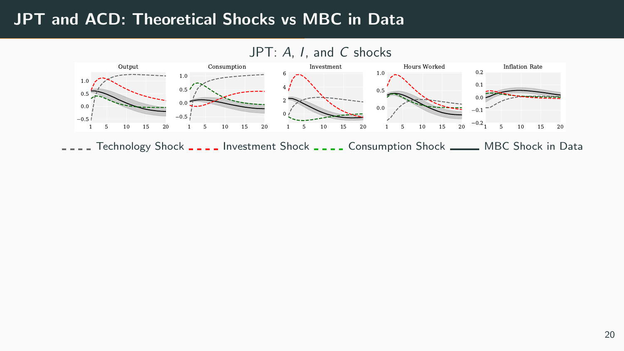## JPT and ACD: Theoretical Shocks vs MBC in Data

### JPT: A, I, and C shocks



I.I. Technology Shock II.I. Investment Shock II.I. Consumption Shock \_\_\_\_ MBC Shock in Data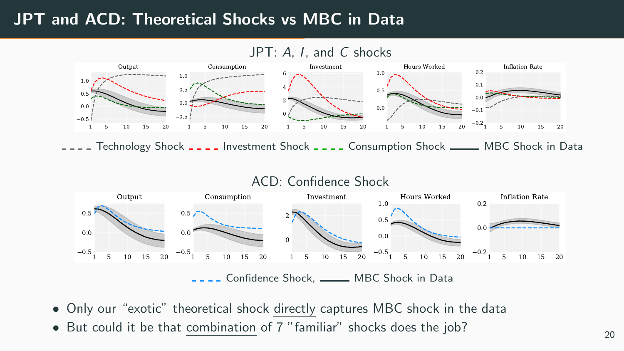## JPT and ACD: Theoretical Shocks vs MBC in Data

### JPT: A, I, and C shocks



I.I. Technology Shock I.I. Investment Shock I.I. Consumption Shock I. MBC Shock in Data



- Only our "exotic" theoretical shock directly captures MBC shock in the data
- But could it be that  $\underline{\text{combination}}$  of 7 "familiar" shocks does the job?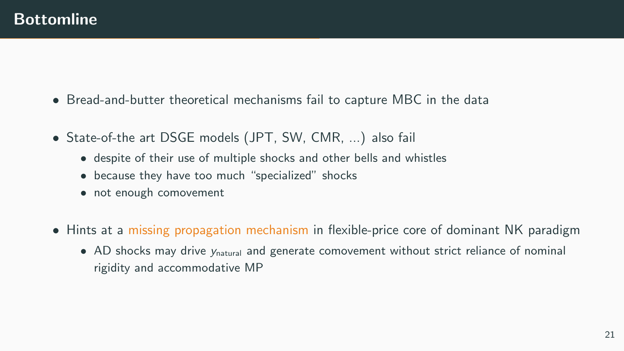- Bread-and-butter theoretical mechanisms fail to capture MBC in the data
- State-of-the art DSGE models (JPT, SW, CMR, ...) also fail
	- despite of their use of multiple shocks and other bells and whistles
	- because they have too much "specialized" shocks
	- not enough comovement
- Hints at a missing propagation mechanism in flexible-price core of dominant NK paradigm
	- AD shocks may drive  $y_{\text{natural}}$  and generate comovement without strict reliance of nominal rigidity and accommodative MP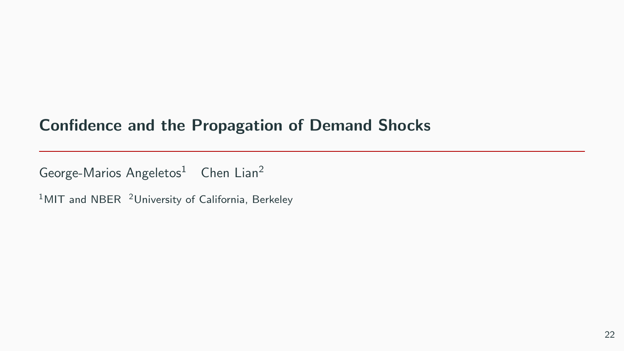## Confidence and the Propagation of Demand Shocks

George-Marios Angeletos<sup>1</sup> Chen Lian<sup>2</sup>

 $1$ MIT and NBER  $2$ University of California, Berkeley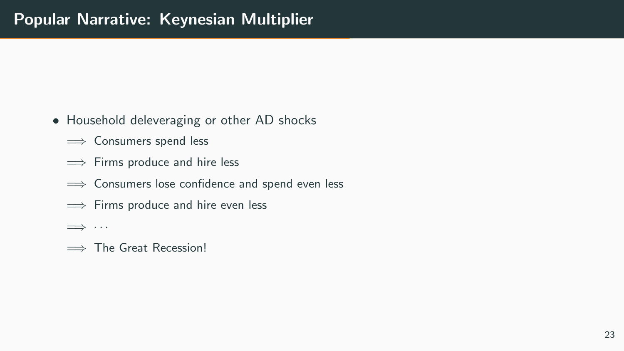- Household deleveraging or other AD shocks
	- $\implies$  Consumers spend less
	- $\implies$  Firms produce and hire less
	- ≡ Consumers lose confidence and spend even less
	- $\implies$  Firms produce and hire even less
	- =⇒ · · ·
	- $\implies$  The Great Recession!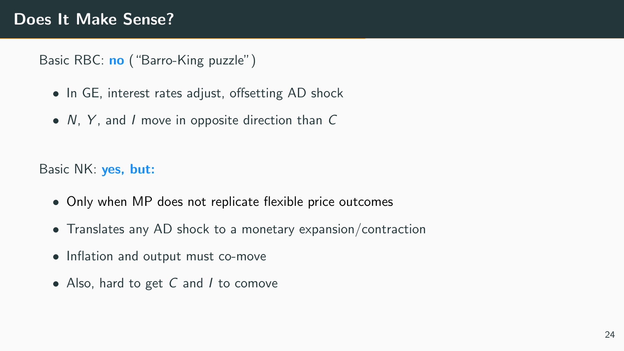Basic RBC: no ("Barro-King puzzle")

- In GE, interest rates adjust, offsetting AD shock
- N, Y, and I move in opposite direction than C

Basic NK: yes, but:

- Only when MP does not replicate flexible price outcomes
- Translates any AD shock to a monetary expansion/contraction
- Inflation and output must co-move
- Also, hard to get C and I to comove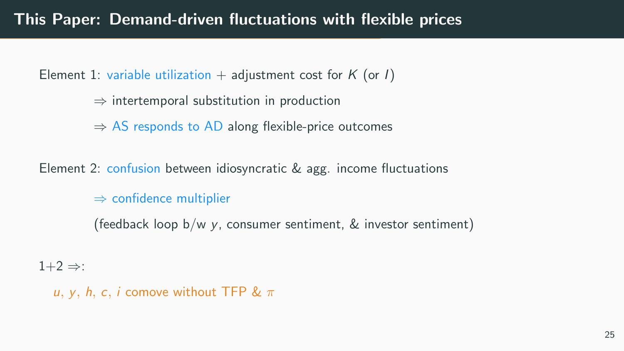Element 1: variable utilization + adjustment cost for K (or I)

- $\Rightarrow$  intertemporal substitution in production
- $\Rightarrow$  AS responds to AD along flexible-price outcomes

Element 2: confusion between idiosyncratic & agg. income fluctuations

 $\Rightarrow$  confidence multiplier

(feedback loop  $b/w$  y, consumer sentiment,  $\&$  investor sentiment)

 $1+2 \Rightarrow$ :

u, γ, h, c, i comove without TFP &  $\pi$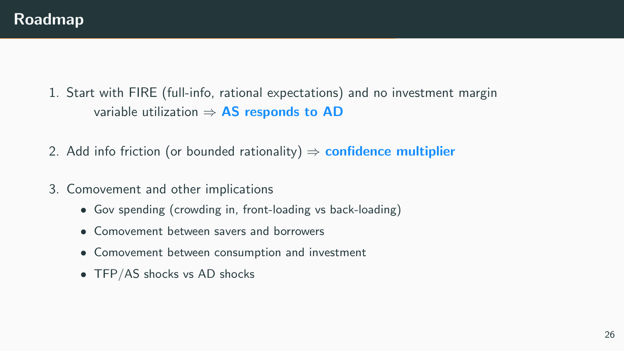- 1. Start with FIRE (full-info, rational expectations) and no investment margin variable utilization  $\Rightarrow$  AS responds to AD
- 2. Add info friction (or bounded rationality)  $\Rightarrow$  confidence multiplier
- 3. Comovement and other implications
	- Gov spending (crowding in, front-loading vs back-loading)
	- Comovement between savers and borrowers
	- Comovement between consumption and investment
	- TFP/AS shocks vs AD shocks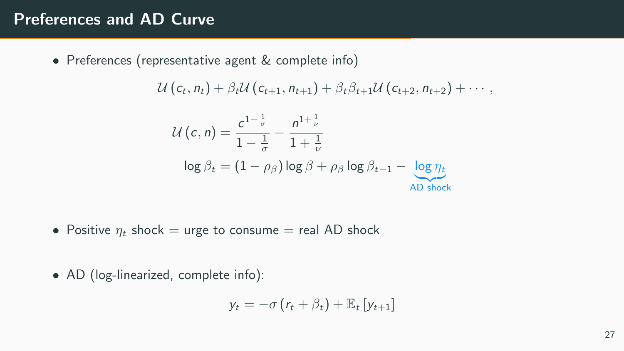## Preferences and AD Curve

• Preferences (representative agent & complete info)

$$
U(c_{t}, n_{t}) + \beta_{t} U(c_{t+1}, n_{t+1}) + \beta_{t} \beta_{t+1} U(c_{t+2}, n_{t+2}) + \cdots,
$$

$$
\mathcal{U}(c, n) = \frac{c^{1-\frac{1}{\sigma}}}{1-\frac{1}{\sigma}} - \frac{n^{1+\frac{1}{\nu}}}{1+\frac{1}{\nu}}
$$

$$
\log \beta_t = (1 - \rho_\beta) \log \beta + \rho_\beta \log \beta_{t-1} - \frac{\log \eta_t}{\text{AD shock}}
$$

- Positive  $\eta_t$  shock = urge to consume = real AD shock
- AD (log-linearized, complete info):

$$
y_t = -\sigma (r_t + \beta_t) + \mathbb{E}_t [y_{t+1}]
$$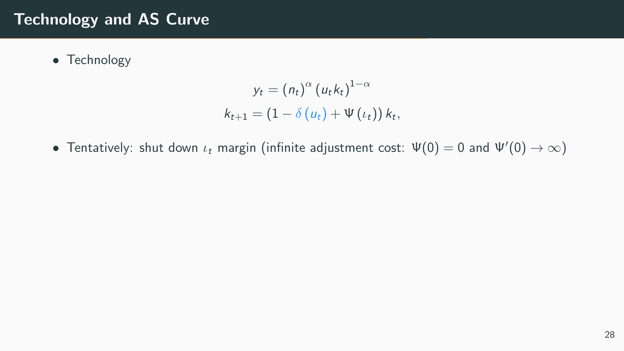## Technology and AS Curve

• Technology

$$
y_t = (n_t)^{\alpha} (u_t k_t)^{1-\alpha}
$$
  

$$
k_{t+1} = (1 - \delta (u_t) + \Psi (t_t)) k_t,
$$

• Tentatively: shut down  $\iota_t$  margin (infinite adjustment cost:  $\Psi(0) = 0$  and  $\Psi'(0) \to \infty$ )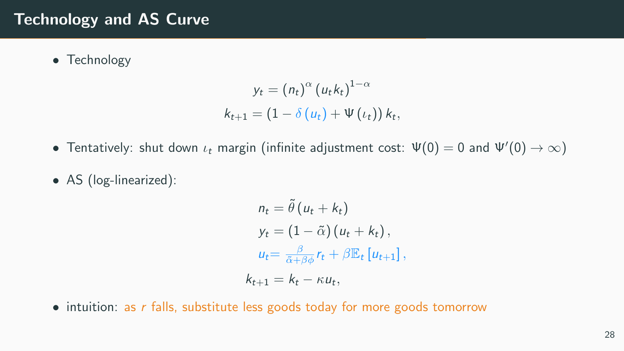## Technology and AS Curve

• Technology

$$
y_t = (n_t)^{\alpha} (u_t k_t)^{1-\alpha}
$$
  

$$
k_{t+1} = (1 - \delta (u_t) + \Psi (t_t)) k_t,
$$

- Tentatively: shut down  $\iota_t$  margin (infinite adjustment cost:  $\Psi(0) = 0$  and  $\Psi'(0) \to \infty$ )
- AS (log-linearized):

$$
n_{t} = \tilde{\theta} (u_{t} + k_{t})
$$
  
\n
$$
y_{t} = (1 - \tilde{\alpha}) (u_{t} + k_{t}),
$$
  
\n
$$
u_{t} = \frac{\beta}{\tilde{\alpha} + \beta \phi} r_{t} + \beta \mathbb{E}_{t} [u_{t+1}],
$$
  
\n
$$
k_{t+1} = k_{t} - \kappa u_{t},
$$

• intuition: as r falls, substitute less goods today for more goods tomorrow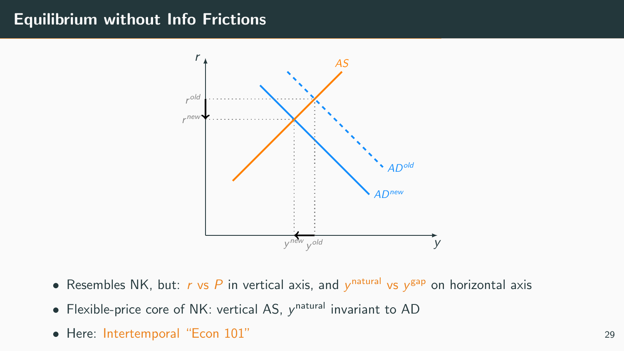### Equilibrium without Info Frictions



- Resembles NK, but: r vs P in vertical axis, and  $y^{\text{natural}}$  vs  $y^{\text{gap}}$  on horizontal axis
- $\bullet$  Flexible-price core of NK: vertical AS,  $y^\mathsf{natural}$  invariant to AD
- Here: Intertemporal "Econ 101" <sup>29</sup>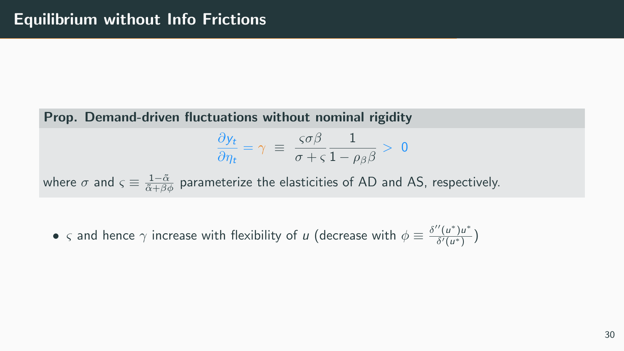Prop. Demand-driven fluctuations without nominal rigidity

$$
\frac{\partial y_t}{\partial \eta_t} = \gamma \equiv \frac{\varsigma \sigma \beta}{\sigma + \varsigma} \frac{1}{1 - \rho_\beta \beta} > 0
$$

where  $\sigma$  and  $\varsigma\equiv\frac{1-\tilde{\alpha}}{\tilde{\alpha}+\beta\phi}$  parameterize the elasticities of AD and AS, respectively.

•  $\varsigma$  and hence  $\gamma$  increase with flexibility of  $u$  (decrease with  $\phi \equiv \frac{\delta''(u^*) u^*}{\delta'(u^*)}$  $\frac{(u^2)u}{\delta'(u^*)}$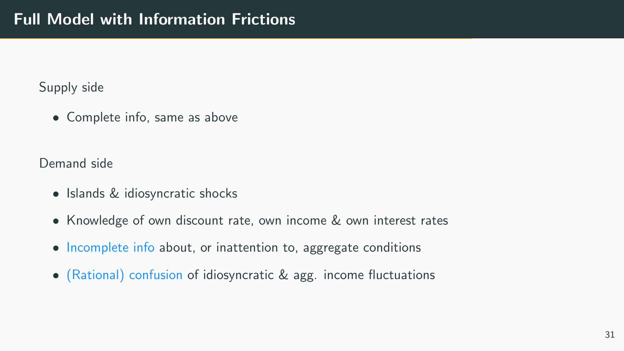Supply side

• Complete info, same as above

Demand side

- Islands & idiosyncratic shocks
- Knowledge of own discount rate, own income & own interest rates
- Incomplete info about, or inattention to, aggregate conditions
- (Rational) confusion of idiosyncratic & agg. income fluctuations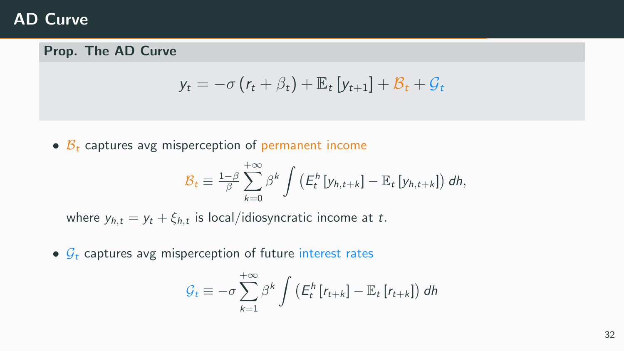## AD Curve

### Prop. The AD Curve

$$
y_t = -\sigma (r_t + \beta_t) + \mathbb{E}_t [y_{t+1}] + \mathcal{B}_t + \mathcal{G}_t
$$

•  $\beta_t$  captures avg misperception of permanent income

$$
\mathcal{B}_t \equiv \frac{1-\beta}{\beta} \sum_{k=0}^{+\infty} \beta^k \int \left( E_t^h \left[ y_{h,t+k} \right] - \mathbb{E}_t \left[ y_{h,t+k} \right] \right) dh,
$$

where  $y_{h,t} = y_t + \xi_{h,t}$  is local/idiosyncratic income at  $t$ .

•  $G_t$  captures avg misperception of future interest rates

$$
\mathcal{G}_t \equiv -\sigma \sum_{k=1}^{+\infty} \beta^k \int \left( E_t^h \left[ r_{t+k} \right] - \mathbb{E}_t \left[ r_{t+k} \right] \right) dh
$$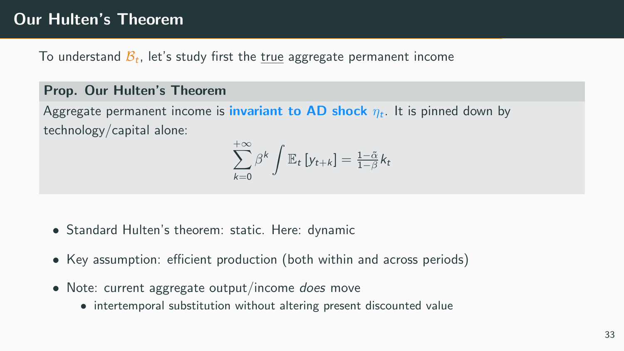## Our Hulten's Theorem

To understand  $\mathcal{B}_t$ , let's study first the <u>true</u> aggregate permanent income

#### Prop. Our Hulten's Theorem

Aggregate permanent income is <mark>invariant to AD shock</mark>  $\eta_t$ . It is pinned down by technology/capital alone:

$$
\sum_{k=0}^{+\infty} \beta^k \int \mathbb{E}_t \left[ y_{t+k} \right] = \frac{1-\tilde{\alpha}}{1-\beta} k_t
$$

- Standard Hulten's theorem: static. Here: dynamic
- Key assumption: efficient production (both within and across periods)
- Note: current aggregate output/income *does* move
	- intertemporal substitution without altering present discounted value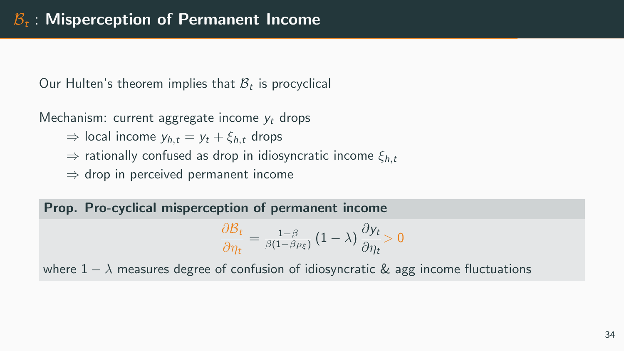Our Hulten's theorem implies that  $B_t$  is procyclical

Mechanism: current aggregate income  $y_t$  drops

 $\Rightarrow$  local income  $y_{h,t} = y_t + \xi_{h,t}$  drops

 $\Rightarrow$  rationally confused as drop in idiosyncratic income  $\xi_{h,t}$ 

 $\Rightarrow$  drop in perceived permanent income

Prop. Pro-cyclical misperception of permanent income

$$
\frac{\partial \mathcal{B}_t}{\partial \eta_t} = \frac{1-\beta}{\beta(1-\beta \rho_{\xi})} \left(1-\lambda\right) \frac{\partial \mathsf{y}_t}{\partial \eta_t} > 0
$$

where  $1 - \lambda$  measures degree of confusion of idiosyncratic & agg income fluctuations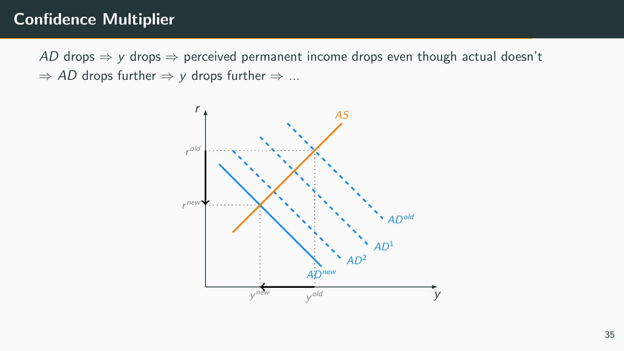## Confidence Multiplier

AD drops  $\Rightarrow$  y drops  $\Rightarrow$  perceived permanent income drops even though actual doesn't  $\Rightarrow$  AD drops further  $\Rightarrow$  y drops further  $\Rightarrow$  ...

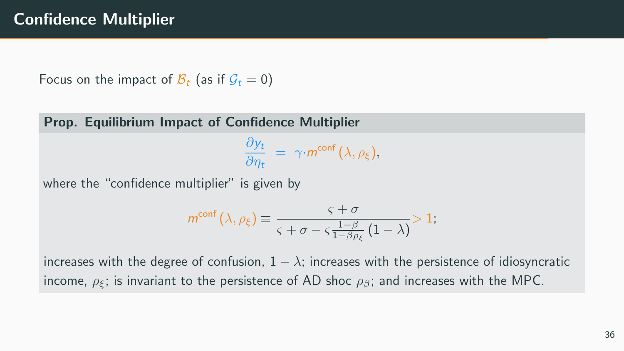Focus on the impact of  $\mathcal{B}_t$  (as if  $\mathcal{G}_t = 0$ )

Prop. Equilibrium Impact of Confidence Multiplier

 $\partial y_t$  $rac{\partial y_t}{\partial \eta_t} = \gamma \cdot m^{\text{conf}}(\lambda, \rho_{\xi}),$ 

where the "confidence multiplier" is given by

$$
m^{\text{conf}}\left(\lambda,\rho_{\xi}\right) \equiv \frac{\varsigma + \sigma}{\varsigma + \sigma - \varsigma \frac{1-\beta}{1-\beta\rho_{\xi}}\left(1-\lambda\right)} > 1;
$$

increases with the degree of confusion,  $1 - \lambda$ ; increases with the persistence of idiosyncratic income,  $\rho_{\xi}$ ; is invariant to the persistence of AD shoc  $\rho_{\beta}$ ; and increases with the MPC.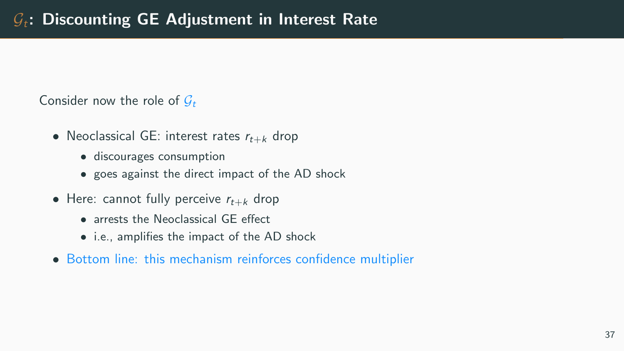Consider now the role of  $G_t$ 

- Neoclassical GE: interest rates  $r_{t+k}$  drop
	- discourages consumption
	- goes against the direct impact of the AD shock
- Here: cannot fully perceive  $r_{t+k}$  drop
	- arrests the Neoclassical GE effect
	- i.e., amplifies the impact of the AD shock
- Bottom line: this mechanism reinforces confidence multiplier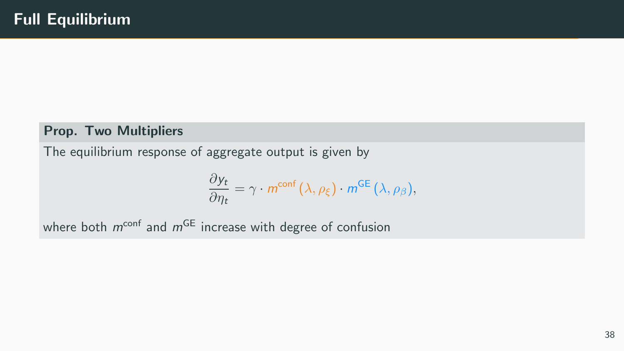#### Prop. Two Multipliers

The equilibrium response of aggregate output is given by

$$
\frac{\partial y_t}{\partial \eta_t} = \gamma \cdot m^{\text{conf}}(\lambda, \rho_{\xi}) \cdot m^{\text{GE}}(\lambda, \rho_{\beta}),
$$

where both  $m^{\text{conf}}$  and  $m^{\text{GE}}$  increase with degree of confusion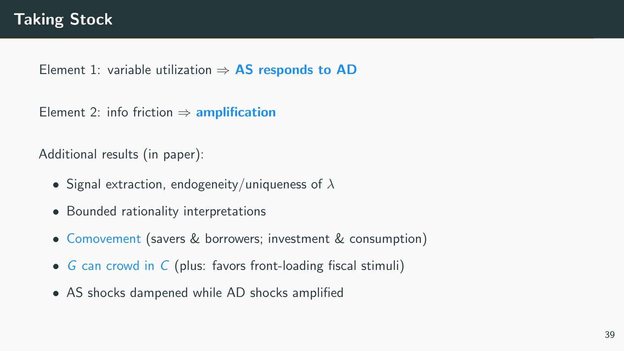Element 1: variable utilization  $\Rightarrow$  AS responds to AD

Element 2: info friction  $\Rightarrow$  amplification

Additional results (in paper):

- Signal extraction, endogeneity/uniqueness of  $\lambda$
- Bounded rationality interpretations
- Comovement (savers & borrowers; investment & consumption)
- G can crowd in C (plus: favors front-loading fiscal stimuli)
- AS shocks dampened while AD shocks amplified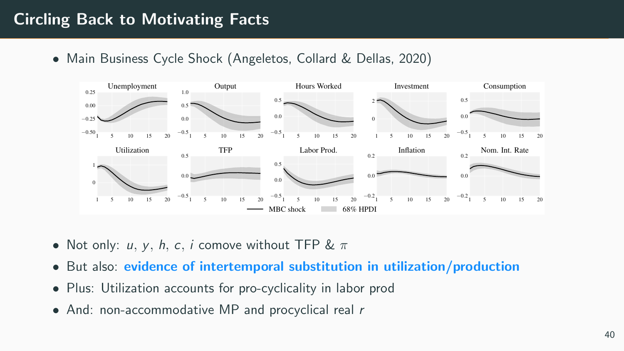# Circling Back to Motivating Facts

• Main Business Cycle Shock (Angeletos, Collard & Dellas, 2020)



- Not only: u, y, h, c, i comove without TFP &  $\pi$
- But also: evidence of intertemporal substitution in utilization/production
- Plus: Utilization accounts for pro-cyclicality in labor prod
- And: non-accommodative MP and procyclical real r